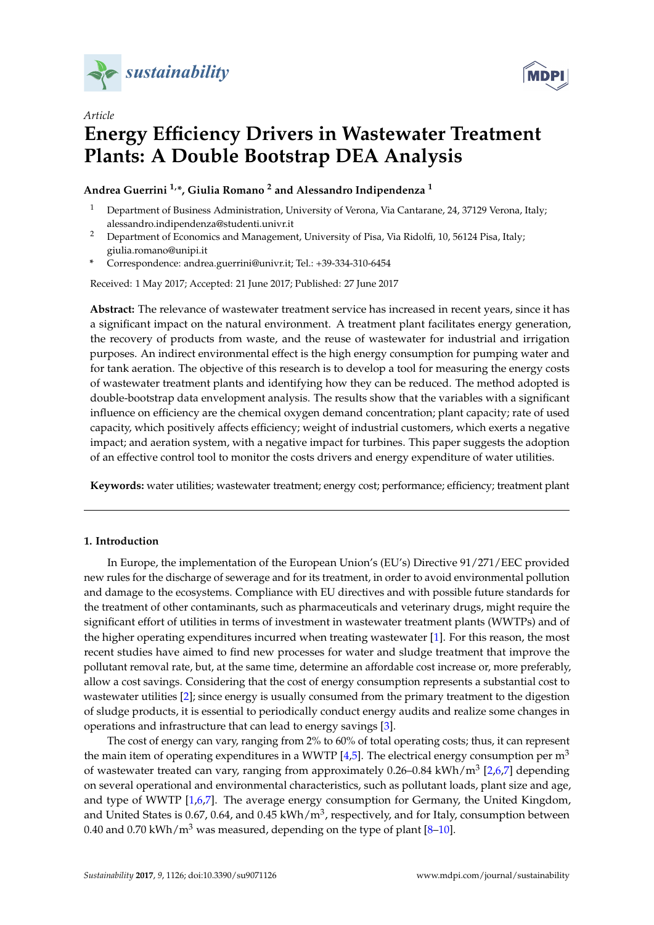



# *Article* **Energy Efficiency Drivers in Wastewater Treatment Plants: A Double Bootstrap DEA Analysis**

**Andrea Guerrini 1,\*, Giulia Romano <sup>2</sup> and Alessandro Indipendenza <sup>1</sup>**

- <sup>1</sup> Department of Business Administration, University of Verona, Via Cantarane, 24, 37129 Verona, Italy; alessandro.indipendenza@studenti.univr.it
- <sup>2</sup> Department of Economics and Management, University of Pisa, Via Ridolfi, 10, 56124 Pisa, Italy; giulia.romano@unipi.it
- **\*** Correspondence: andrea.guerrini@univr.it; Tel.: +39-334-310-6454

Received: 1 May 2017; Accepted: 21 June 2017; Published: 27 June 2017

**Abstract:** The relevance of wastewater treatment service has increased in recent years, since it has a significant impact on the natural environment. A treatment plant facilitates energy generation, the recovery of products from waste, and the reuse of wastewater for industrial and irrigation purposes. An indirect environmental effect is the high energy consumption for pumping water and for tank aeration. The objective of this research is to develop a tool for measuring the energy costs of wastewater treatment plants and identifying how they can be reduced. The method adopted is double-bootstrap data envelopment analysis. The results show that the variables with a significant influence on efficiency are the chemical oxygen demand concentration; plant capacity; rate of used capacity, which positively affects efficiency; weight of industrial customers, which exerts a negative impact; and aeration system, with a negative impact for turbines. This paper suggests the adoption of an effective control tool to monitor the costs drivers and energy expenditure of water utilities.

**Keywords:** water utilities; wastewater treatment; energy cost; performance; efficiency; treatment plant

# <span id="page-0-0"></span>**1. Introduction**

In Europe, the implementation of the European Union's (EU's) Directive 91/271/EEC provided new rules for the discharge of sewerage and for its treatment, in order to avoid environmental pollution and damage to the ecosystems. Compliance with EU directives and with possible future standards for the treatment of other contaminants, such as pharmaceuticals and veterinary drugs, might require the significant effort of utilities in terms of investment in wastewater treatment plants (WWTPs) and of the higher operating expenditures incurred when treating wastewater [\[1\]](#page-10-0). For this reason, the most recent studies have aimed to find new processes for water and sludge treatment that improve the pollutant removal rate, but, at the same time, determine an affordable cost increase or, more preferably, allow a cost savings. Considering that the cost of energy consumption represents a substantial cost to wastewater utilities [\[2\]](#page-10-1); since energy is usually consumed from the primary treatment to the digestion of sludge products, it is essential to periodically conduct energy audits and realize some changes in operations and infrastructure that can lead to energy savings [\[3\]](#page-10-2).

The cost of energy can vary, ranging from 2% to 60% of total operating costs; thus, it can represent the main item of operating expenditures in a WWTP  $[4,5]$  $[4,5]$ . The electrical energy consumption per  $m<sup>3</sup>$ of wastewater treated can vary, ranging from approximately 0.26–0.84 kWh/m<sup>3</sup> [\[2,](#page-10-1)[6,](#page-11-1)[7\]](#page-11-2) depending on several operational and environmental characteristics, such as pollutant loads, plant size and age, and type of WWTP [\[1,](#page-10-0)[6,](#page-11-1)[7\]](#page-11-2). The average energy consumption for Germany, the United Kingdom, and United States is 0.67, 0.64, and 0.45 kWh/m<sup>3</sup>, respectively, and for Italy, consumption between 0.40 and 0.70 kWh/ $m<sup>3</sup>$  was measured, depending on the type of plant [\[8](#page-11-3)-10].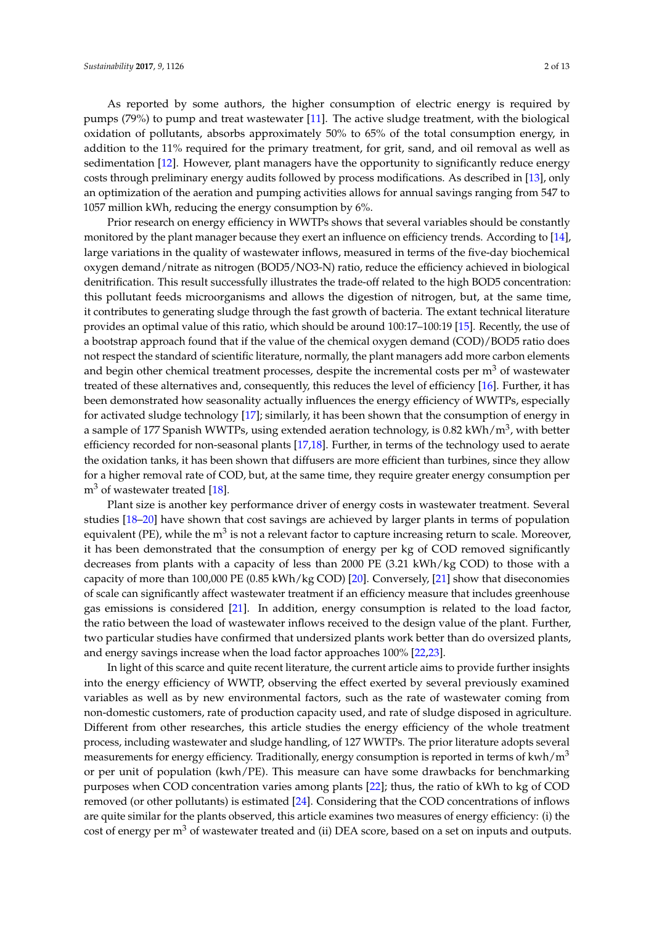As reported by some authors, the higher consumption of electric energy is required by pumps (79%) to pump and treat wastewater [\[11\]](#page-11-5). The active sludge treatment, with the biological oxidation of pollutants, absorbs approximately 50% to 65% of the total consumption energy, in addition to the 11% required for the primary treatment, for grit, sand, and oil removal as well as sedimentation [\[12\]](#page-11-6). However, plant managers have the opportunity to significantly reduce energy costs through preliminary energy audits followed by process modifications. As described in [\[13\]](#page-11-7), only an optimization of the aeration and pumping activities allows for annual savings ranging from 547 to 1057 million kWh, reducing the energy consumption by 6%.

Prior research on energy efficiency in WWTPs shows that several variables should be constantly monitored by the plant manager because they exert an influence on efficiency trends. According to [\[14\]](#page-11-8), large variations in the quality of wastewater inflows, measured in terms of the five-day biochemical oxygen demand/nitrate as nitrogen (BOD5/NO3-N) ratio, reduce the efficiency achieved in biological denitrification. This result successfully illustrates the trade-off related to the high BOD5 concentration: this pollutant feeds microorganisms and allows the digestion of nitrogen, but, at the same time, it contributes to generating sludge through the fast growth of bacteria. The extant technical literature provides an optimal value of this ratio, which should be around 100:17–100:19 [\[15\]](#page-11-9). Recently, the use of a bootstrap approach found that if the value of the chemical oxygen demand (COD)/BOD5 ratio does not respect the standard of scientific literature, normally, the plant managers add more carbon elements and begin other chemical treatment processes, despite the incremental costs per  $m<sup>3</sup>$  of wastewater treated of these alternatives and, consequently, this reduces the level of efficiency [\[16\]](#page-11-10). Further, it has been demonstrated how seasonality actually influences the energy efficiency of WWTPs, especially for activated sludge technology [\[17\]](#page-11-11); similarly, it has been shown that the consumption of energy in a sample of 177 Spanish WWTPs, using extended aeration technology, is 0.82 kWh/m $^3$ , with better efficiency recorded for non-seasonal plants [\[17](#page-11-11)[,18\]](#page-11-12). Further, in terms of the technology used to aerate the oxidation tanks, it has been shown that diffusers are more efficient than turbines, since they allow for a higher removal rate of COD, but, at the same time, they require greater energy consumption per  $m<sup>3</sup>$  of wastewater treated [\[18\]](#page-11-12).

Plant size is another key performance driver of energy costs in wastewater treatment. Several studies [\[18](#page-11-12)[–20\]](#page-11-13) have shown that cost savings are achieved by larger plants in terms of population equivalent (PE), while the m $^3$  is not a relevant factor to capture increasing return to scale. Moreover, it has been demonstrated that the consumption of energy per kg of COD removed significantly decreases from plants with a capacity of less than 2000 PE (3.21 kWh/kg COD) to those with a capacity of more than 100,000 PE (0.85 kWh/kg COD) [\[20\]](#page-11-13). Conversely, [\[21\]](#page-11-14) show that diseconomies of scale can significantly affect wastewater treatment if an efficiency measure that includes greenhouse gas emissions is considered [\[21\]](#page-11-14). In addition, energy consumption is related to the load factor, the ratio between the load of wastewater inflows received to the design value of the plant. Further, two particular studies have confirmed that undersized plants work better than do oversized plants, and energy savings increase when the load factor approaches 100% [\[22,](#page-11-15)[23\]](#page-11-16).

In light of this scarce and quite recent literature, the current article aims to provide further insights into the energy efficiency of WWTP, observing the effect exerted by several previously examined variables as well as by new environmental factors, such as the rate of wastewater coming from non-domestic customers, rate of production capacity used, and rate of sludge disposed in agriculture. Different from other researches, this article studies the energy efficiency of the whole treatment process, including wastewater and sludge handling, of 127 WWTPs. The prior literature adopts several measurements for energy efficiency. Traditionally, energy consumption is reported in terms of  $kwh/m<sup>3</sup>$ or per unit of population (kwh/PE). This measure can have some drawbacks for benchmarking purposes when COD concentration varies among plants [\[22\]](#page-11-15); thus, the ratio of kWh to kg of COD removed (or other pollutants) is estimated [\[24\]](#page-11-17). Considering that the COD concentrations of inflows are quite similar for the plants observed, this article examines two measures of energy efficiency: (i) the cost of energy per m<sup>3</sup> of wastewater treated and (ii) DEA score, based on a set on inputs and outputs.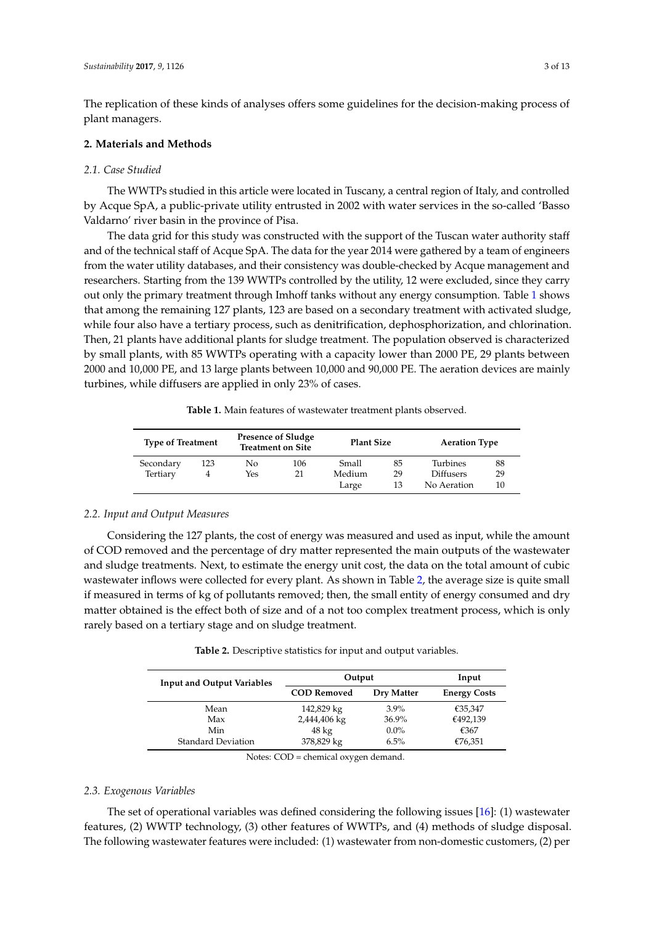The replication of these kinds of analyses offers some guidelines for the decision-making process of plant managers.

# <span id="page-2-2"></span>**2. Materials and Methods**

# *2.1. Case Studied*

The WWTPs studied in this article were located in Tuscany, a central region of Italy, and controlled by Acque SpA, a public-private utility entrusted in 2002 with water services in the so-called 'Basso Valdarno' river basin in the province of Pisa.

The data grid for this study was constructed with the support of the Tuscan water authority staff and of the technical staff of Acque SpA. The data for the year 2014 were gathered by a team of engineers from the water utility databases, and their consistency was double-checked by Acque management and researchers. Starting from the 139 WWTPs controlled by the utility, 12 were excluded, since they carry out only the primary treatment through Imhoff tanks without any energy consumption. Table [1](#page-2-0) shows that among the remaining 127 plants, 123 are based on a secondary treatment with activated sludge, while four also have a tertiary process, such as denitrification, dephosphorization, and chlorination. Then, 21 plants have additional plants for sludge treatment. The population observed is characterized by small plants, with 85 WWTPs operating with a capacity lower than 2000 PE, 29 plants between 2000 and 10,000 PE, and 13 large plants between 10,000 and 90,000 PE. The aeration devices are mainly turbines, while diffusers are applied in only 23% of cases.

| Table 1. Main features of wastewater treatment plants observed. |  |
|-----------------------------------------------------------------|--|
|-----------------------------------------------------------------|--|

<span id="page-2-0"></span>

| <b>Type of Treatment</b> |     |     | <b>Presence of Sludge</b><br><b>Treatment on Site</b> |        | <b>Plant Size</b> | <b>Aeration Type</b> |    |
|--------------------------|-----|-----|-------------------------------------------------------|--------|-------------------|----------------------|----|
| Secondary                | 123 | Nο  | 106                                                   | Small  | 85                | Turbines             | 88 |
| Tertiary                 |     | Yes | 21                                                    | Medium | 29                | <b>Diffusers</b>     | 29 |
|                          |     |     |                                                       | Large  | 13                | No Aeration          | 10 |

# *2.2. Input and Output Measures*

Considering the 127 plants, the cost of energy was measured and used as input, while the amount of COD removed and the percentage of dry matter represented the main outputs of the wastewater and sludge treatments. Next, to estimate the energy unit cost, the data on the total amount of cubic wastewater inflows were collected for every plant. As shown in Table [2,](#page-2-1) the average size is quite small if measured in terms of kg of pollutants removed; then, the small entity of energy consumed and dry matter obtained is the effect both of size and of a not too complex treatment process, which is only rarely based on a tertiary stage and on sludge treatment.

<span id="page-2-1"></span>

| <b>Input and Output Variables</b> | Output             | Input      |                     |
|-----------------------------------|--------------------|------------|---------------------|
|                                   | <b>COD Removed</b> | Dry Matter | <b>Energy Costs</b> |
| Mean                              | 142,829 kg         | $3.9\%$    | €35,347             |
| Max                               | 2,444,406 kg       | 36.9%      | €492,139            |
| Min                               | $48 \text{ kg}$    | $0.0\%$    | €367                |
| <b>Standard Deviation</b>         | 378,829 kg         | 6.5%       | €76,351             |

**Table 2.** Descriptive statistics for input and output variables.

Notes: COD = chemical oxygen demand.

#### *2.3. Exogenous Variables*

The set of operational variables was defined considering the following issues  $[16]$ : (1) wastewater features, (2) WWTP technology, (3) other features of WWTPs, and (4) methods of sludge disposal. The following wastewater features were included: (1) wastewater from non-domestic customers, (2) per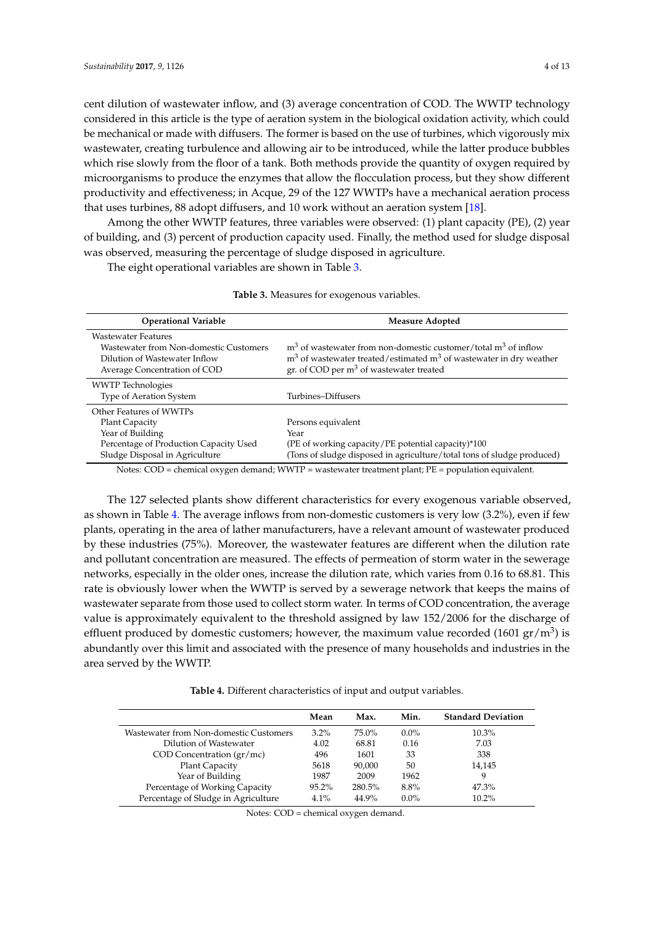cent dilution of wastewater inflow, and (3) average concentration of COD. The WWTP technology considered in this article is the type of aeration system in the biological oxidation activity, which could be mechanical or made with diffusers. The former is based on the use of turbines, which vigorously mix wastewater, creating turbulence and allowing air to be introduced, while the latter produce bubbles which rise slowly from the floor of a tank. Both methods provide the quantity of oxygen required by microorganisms to produce the enzymes that allow the flocculation process, but they show different productivity and effectiveness; in Acque, 29 of the 127 WWTPs have a mechanical aeration process that uses turbines, 88 adopt diffusers, and 10 work without an aeration system [\[18\]](#page-11-12).

Among the other WWTP features, three variables were observed: (1) plant capacity (PE), (2) year of building, and (3) percent of production capacity used. Finally, the method used for sludge disposal was observed, measuring the percentage of sludge disposed in agriculture.

<span id="page-3-0"></span>The eight operational variables are shown in Table [3.](#page-3-0)

| <b>Operational Variable</b>                                                                                                                      | Measure Adopted                                                                                                                                                                           |
|--------------------------------------------------------------------------------------------------------------------------------------------------|-------------------------------------------------------------------------------------------------------------------------------------------------------------------------------------------|
| <b>Wastewater Features</b><br>Wastewater from Non-domestic Customers<br>Dilution of Wastewater Inflow<br>Average Concentration of COD            | $m3$ of wastewater from non-domestic customer/total $m3$ of inflow<br>$m3$ of wastewater treated/estimated $m3$ of wastewater in dry weather<br>gr. of COD per $m3$ of wastewater treated |
| <b>WWTP</b> Technologies<br><b>Type of Aeration System</b>                                                                                       | Turbines-Diffusers                                                                                                                                                                        |
| Other Features of WWTPs<br><b>Plant Capacity</b><br>Year of Building<br>Percentage of Production Capacity Used<br>Sludge Disposal in Agriculture | Persons equivalent<br>Year<br>(PE of working capacity/PE potential capacity)*100<br>(Tons of sludge disposed in agriculture/total tons of sludge produced)                                |

**Table 3.** Measures for exogenous variables.

Notes: COD = chemical oxygen demand; WWTP = wastewater treatment plant; PE = population equivalent.

The 127 selected plants show different characteristics for every exogenous variable observed, as shown in Table [4.](#page-3-1) The average inflows from non-domestic customers is very low (3.2%), even if few plants, operating in the area of lather manufacturers, have a relevant amount of wastewater produced by these industries (75%). Moreover, the wastewater features are different when the dilution rate and pollutant concentration are measured. The effects of permeation of storm water in the sewerage networks, especially in the older ones, increase the dilution rate, which varies from 0.16 to 68.81. This rate is obviously lower when the WWTP is served by a sewerage network that keeps the mains of wastewater separate from those used to collect storm water. In terms of COD concentration, the average value is approximately equivalent to the threshold assigned by law 152/2006 for the discharge of effluent produced by domestic customers; however, the maximum value recorded (1601  $\rm{gr/m^3}$ ) is abundantly over this limit and associated with the presence of many households and industries in the area served by the WWTP.

**Table 4.** Different characteristics of input and output variables.

<span id="page-3-1"></span>

|                                        | Mean     | Max.   | Min.    | <b>Standard Deviation</b> |
|----------------------------------------|----------|--------|---------|---------------------------|
| Wastewater from Non-domestic Customers | $3.2\%$  | 75.0%  | $0.0\%$ | $10.3\%$                  |
| Dilution of Wastewater                 | 4.02     | 68.81  | 0.16    | 7.03                      |
| $COD$ Concentration $\frac{gr}{mc}$    | 496      | 1601   | 33      | 338                       |
| Plant Capacity                         | 5618     | 90,000 | 50      | 14,145                    |
| Year of Building                       | 1987     | 2009   | 1962    | 9                         |
| Percentage of Working Capacity         | $95.2\%$ | 280.5% | 8.8%    | 47.3%                     |
| Percentage of Sludge in Agriculture    | $4.1\%$  | 44.9%  | $0.0\%$ | $10.2\%$                  |

Notes: COD = chemical oxygen demand.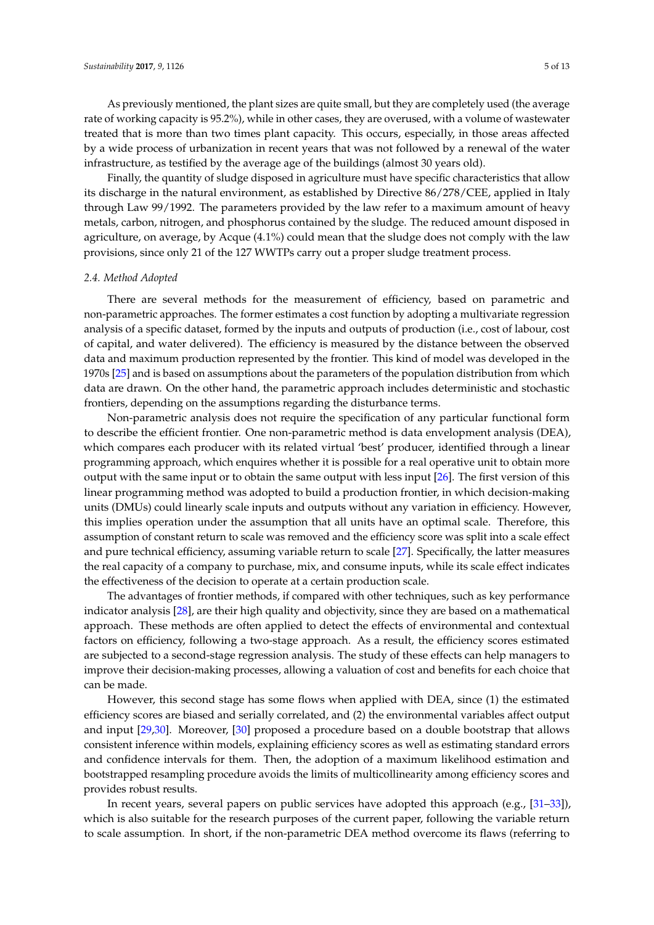As previously mentioned, the plant sizes are quite small, but they are completely used (the average rate of working capacity is 95.2%), while in other cases, they are overused, with a volume of wastewater treated that is more than two times plant capacity. This occurs, especially, in those areas affected by a wide process of urbanization in recent years that was not followed by a renewal of the water infrastructure, as testified by the average age of the buildings (almost 30 years old).

Finally, the quantity of sludge disposed in agriculture must have specific characteristics that allow its discharge in the natural environment, as established by Directive 86/278/CEE, applied in Italy through Law 99/1992. The parameters provided by the law refer to a maximum amount of heavy metals, carbon, nitrogen, and phosphorus contained by the sludge. The reduced amount disposed in agriculture, on average, by Acque (4.1%) could mean that the sludge does not comply with the law provisions, since only 21 of the 127 WWTPs carry out a proper sludge treatment process.

# *2.4. Method Adopted*

There are several methods for the measurement of efficiency, based on parametric and non-parametric approaches. The former estimates a cost function by adopting a multivariate regression analysis of a specific dataset, formed by the inputs and outputs of production (i.e., cost of labour, cost of capital, and water delivered). The efficiency is measured by the distance between the observed data and maximum production represented by the frontier. This kind of model was developed in the 1970s [\[25\]](#page-11-18) and is based on assumptions about the parameters of the population distribution from which data are drawn. On the other hand, the parametric approach includes deterministic and stochastic frontiers, depending on the assumptions regarding the disturbance terms.

Non-parametric analysis does not require the specification of any particular functional form to describe the efficient frontier. One non-parametric method is data envelopment analysis (DEA), which compares each producer with its related virtual 'best' producer, identified through a linear programming approach, which enquires whether it is possible for a real operative unit to obtain more output with the same input or to obtain the same output with less input [\[26\]](#page-11-19). The first version of this linear programming method was adopted to build a production frontier, in which decision-making units (DMUs) could linearly scale inputs and outputs without any variation in efficiency. However, this implies operation under the assumption that all units have an optimal scale. Therefore, this assumption of constant return to scale was removed and the efficiency score was split into a scale effect and pure technical efficiency, assuming variable return to scale [\[27\]](#page-11-20). Specifically, the latter measures the real capacity of a company to purchase, mix, and consume inputs, while its scale effect indicates the effectiveness of the decision to operate at a certain production scale.

The advantages of frontier methods, if compared with other techniques, such as key performance indicator analysis [\[28\]](#page-12-0), are their high quality and objectivity, since they are based on a mathematical approach. These methods are often applied to detect the effects of environmental and contextual factors on efficiency, following a two-stage approach. As a result, the efficiency scores estimated are subjected to a second-stage regression analysis. The study of these effects can help managers to improve their decision-making processes, allowing a valuation of cost and benefits for each choice that can be made.

However, this second stage has some flows when applied with DEA, since (1) the estimated efficiency scores are biased and serially correlated, and (2) the environmental variables affect output and input [\[29,](#page-12-1)[30\]](#page-12-2). Moreover, [\[30\]](#page-12-2) proposed a procedure based on a double bootstrap that allows consistent inference within models, explaining efficiency scores as well as estimating standard errors and confidence intervals for them. Then, the adoption of a maximum likelihood estimation and bootstrapped resampling procedure avoids the limits of multicollinearity among efficiency scores and provides robust results.

In recent years, several papers on public services have adopted this approach (e.g., [\[31–](#page-12-3)[33\]](#page-12-4)), which is also suitable for the research purposes of the current paper, following the variable return to scale assumption. In short, if the non-parametric DEA method overcome its flaws (referring to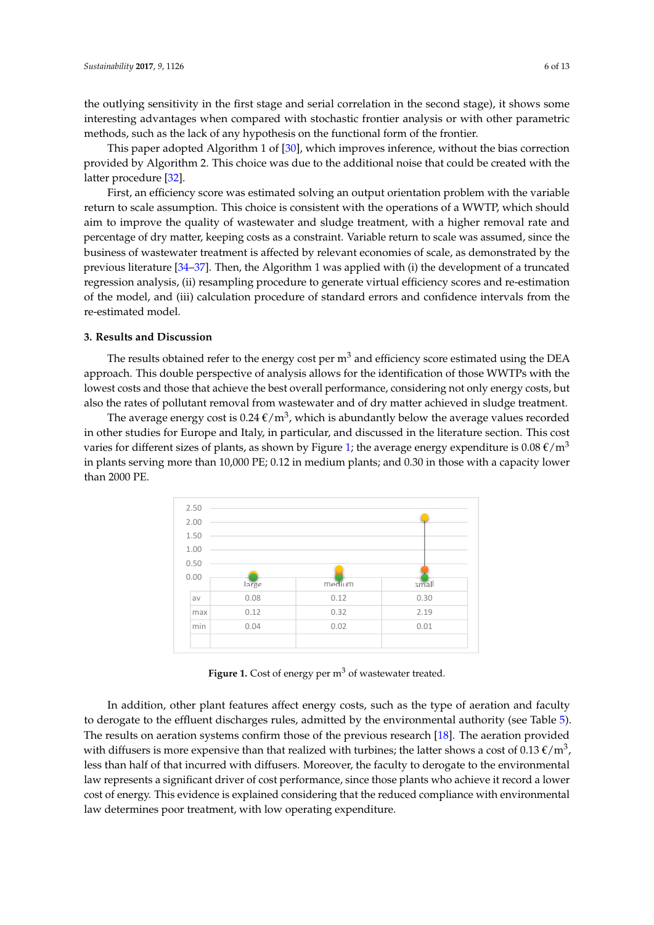the outlying sensitivity in the first stage and serial correlation in the second stage), it shows some interesting advantages when compared with stochastic frontier analysis or with other parametric methods, such as the lack of any hypothesis on the functional form of the frontier.

This paper adopted Algorithm 1 of [\[30\]](#page-12-2), which improves inference, without the bias correction *Sustainability* **2017**, *9*, 1126 6 of 13 provided by Algorithm 2. This choice was due to the additional noise that could be created with the latter procedure [32]. Which is pa[per a](#page-12-5)dopted Algorithm 1 of  $\alpha$  inference, with improves inference, without the bias correction in  $\alpha$ 

First, an efficiency score was estimated solving an output orientation problem with the variable return to scale assumption. This choice is consistent with the operations of a WWTP, which should aim to improve the quality of wastewater and sludge treatment, with a higher removal rate and percentage of dry matter, keeping costs as a constraint. Variable return to scale was assumed, since the percentage of any matter, neeping code as a constraint. Vanashe retain to scale, as demonstrated by the business of wastewater treatment is affected by relevant economies of scale, as demonstrated by the previous literature [\[34](#page-12-6)[–37\]](#page-12-7). Then, the Algorithm 1 was applied with (i) the development of a truncated regression analysis, (ii) resampling procedure to generate virtual efficiency scores and re-estimation of the model, and (iii) calculation procedure of standard errors and confidence intervals from the re-estimated model. **Exercise of the model** calculation procedure of standard errors and confidence intervals and confidence intervals and confidence intervals and confidence intervals and confidence intervals and confiden person was twart treatment is anceled by retevant economics of scale, as demonstrated by

## <span id="page-5-1"></span>**3. Results and Discussion**

The results obtained refer to the energy cost per m<sup>3</sup> and efficiency score estimated using the DEA approach. This double perspective of analysis allows for the identification of those WWTPs with the lowest costs and those that achieve the best overall performance, considering not only energy costs, but lowest costs and those that achieve the best overall performance, considering not only energy costs, but also the rates of pollutant removal from wastewater and of dry matter achieved in sludge treatment. but falls of politiant removal from wastewater and of dry matter achieved in sludge treath

<span id="page-5-0"></span>The average energy cost is  $0.24 \text{ }\epsilon/\text{m}^3$ , which is abundantly below the average values recorded in other studies for Europe and Italy, in particular, and discussed in the literature section. This cost varies for different sizes of plants, as shown by Figure [1;](#page-5-0) the average energy expenditure is 0.08  $\epsilon/\text{m}^3$ in plants serving more than 10,000 PE; 0.12 in medium plants; and 0.30 in those with a capacity lower than 2000 PE.  $2000$  PE; 0.12 in medium plants serving more than 10,000 PE; 0.30 in those with a capacity lower with a capacity lower with a capacity lower with a capacity lower with a capacity lower with a capacity lower with a capaci



Figure 1. Cost of energy per m<sup>3</sup> of wastewater treated.

In addition, other plant features affect energy costs, such as the type of aeration and faculty to derogate to the effluent discharges rules, admitted by the environmental authority (see Table [5\)](#page-6-0). The results on aeration systems confirm those of the previous research [\[18\]](#page-11-12). The aeration provided with diffusers is more expensive than that realized with turbines; the latter shows a cost of 0.13  $\epsilon/m^3$ , less than half of that incurred with diffusers. Moreover, the faculty to derogate to the environmental law represents a significant driver of cost performance, since those plants who achieve it record a lower end of energy. This evidence is explained considering that the reduced compliance with environmental law determines poor treatment, with low operating expenditure.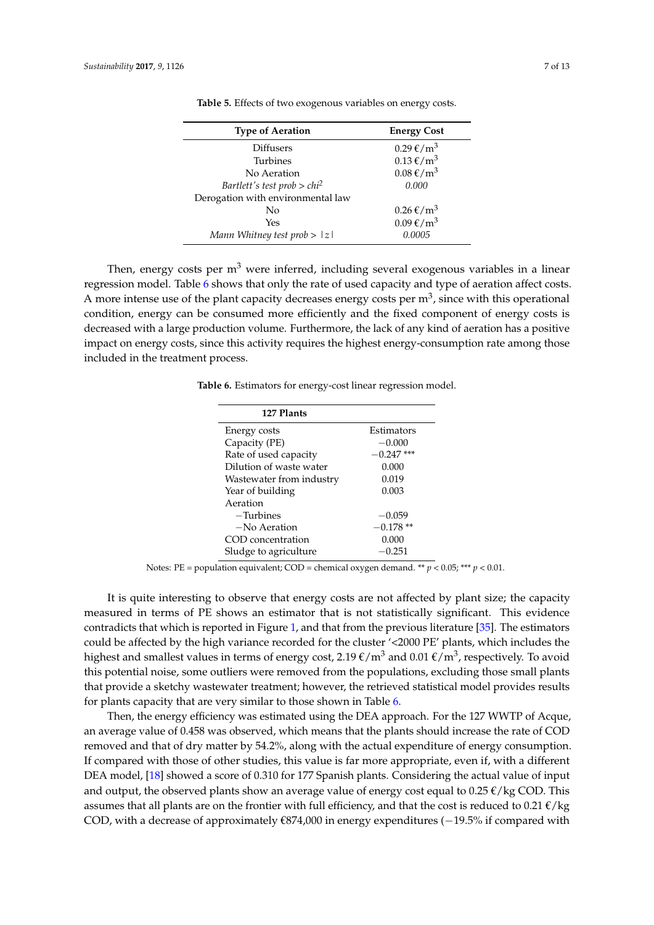<span id="page-6-0"></span>

| <b>Type of Aeration</b>           | <b>Energy Cost</b>               |
|-----------------------------------|----------------------------------|
| <b>Diffusers</b>                  | $0.29 \text{ E/m}^3$             |
| <b>Turbines</b>                   | $0.13 \text{ E/m}^3$             |
| No Aeration                       | $0.08 \text{ E/m}^3$             |
| Bartlett's test prob > $chi^2$    | 0.000                            |
| Derogation with environmental law |                                  |
| No                                | $0.26 \text{ } \in / \text{m}^3$ |
| Yes                               | $0.09 \text{ E/m}^3$             |
| Mann Whitney test $prob >  z $    | 0.0005                           |

**Table 5.** Effects of two exogenous variables on energy costs.

<span id="page-6-1"></span>Then, energy costs per  $m<sup>3</sup>$  were inferred, including several exogenous variables in a linear regression model. Table [6](#page-6-1) shows that only the rate of used capacity and type of aeration affect costs. A more intense use of the plant capacity decreases energy costs per  $m^3$ , since with this operational condition, energy can be consumed more efficiently and the fixed component of energy costs is decreased with a large production volume. Furthermore, the lack of any kind of aeration has a positive impact on energy costs, since this activity requires the highest energy-consumption rate among those included in the treatment process.

**Table 6.** Estimators for energy-cost linear regression model.

| 127 Plants               |              |
|--------------------------|--------------|
| Energy costs             | Estimators   |
| Capacity (PE)            | $-0.000$     |
| Rate of used capacity    | $-0.247$ *** |
| Dilution of waste water  | 0.000        |
| Wastewater from industry | 0.019        |
| Year of building         | 0.003        |
| Aeration                 |              |
| $-Turbines$              | $-0.059$     |
| $-No$ Aeration           | $-0.178**$   |
| COD concentration        | 0.000        |
| Sludge to agriculture    | $-0.251$     |

Notes: PE = population equivalent; COD = chemical oxygen demand. \*\* *p* < 0.05; \*\*\* *p* < 0.01.

It is quite interesting to observe that energy costs are not affected by plant size; the capacity measured in terms of PE shows an estimator that is not statistically significant. This evidence contradicts that which is reported in Figure [1,](#page-5-0) and that from the previous literature [\[35\]](#page-12-8). The estimators could be affected by the high variance recorded for the cluster '<2000 PE' plants, which includes the highest and smallest values in terms of energy cost, 2.19  $\epsilon/m^3$  and 0.01  $\epsilon/m^3$ , respectively. To avoid this potential noise, some outliers were removed from the populations, excluding those small plants that provide a sketchy wastewater treatment; however, the retrieved statistical model provides results for plants capacity that are very similar to those shown in Table [6.](#page-6-1)

Then, the energy efficiency was estimated using the DEA approach. For the 127 WWTP of Acque, an average value of 0.458 was observed, which means that the plants should increase the rate of COD removed and that of dry matter by 54.2%, along with the actual expenditure of energy consumption. If compared with those of other studies, this value is far more appropriate, even if, with a different DEA model, [\[18\]](#page-11-12) showed a score of 0.310 for 177 Spanish plants. Considering the actual value of input and output, the observed plants show an average value of energy cost equal to 0.25  $\ell$ /kg COD. This assumes that all plants are on the frontier with full efficiency, and that the cost is reduced to 0.21  $\epsilon$ /kg COD, with a decrease of approximately €874,000 in energy expenditures (-19.5% if compared with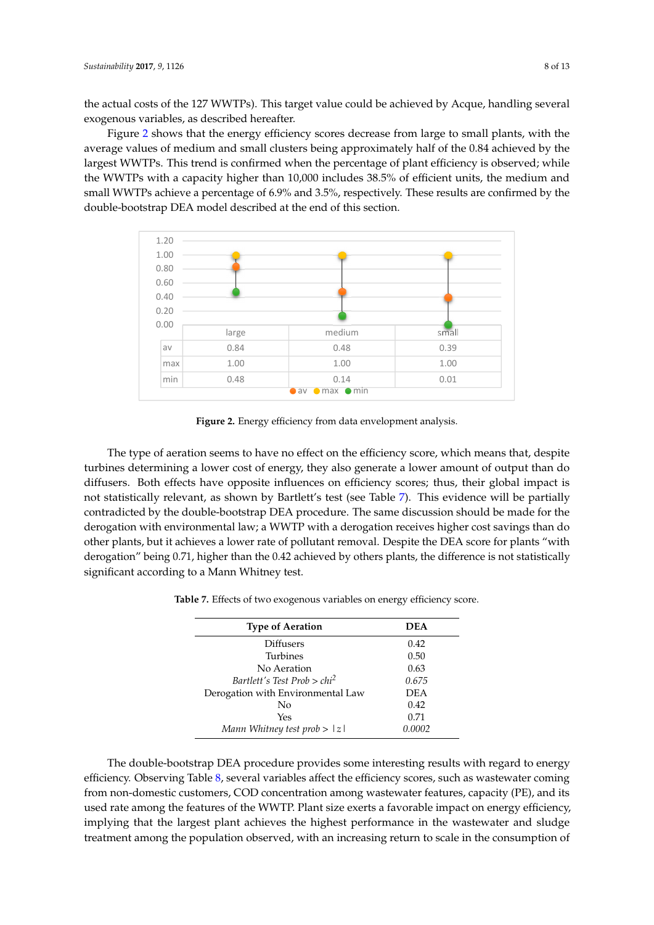the actual costs of the 127 WWTPs). This target value could be achieved by Acque, handling several exogenous variables, as described hereafter.

Figure [2](#page-7-0) shows that the energy efficiency scores decrease from large to small plants, with the average values of medium and small clusters being approximately half of the 0.84 achieved by the largest WWTPs. This trend is confirmed when the percentage of plant efficiency is observed; while<br>discussion is the percentage of plant efficiency is observed; while the WWTPs with a capacity higher than 10,000 includes 38.5% of efficient units, the medium and the WWTPs with a capacity higher than 10,000 includes 38.5% of efficient units, the medium and small WWTPs achieve a percentage of 6.9% and 3.5%, respectively. These results are confirmed by the double-bootstrap DEA model described at the end of this section. the double-bootstrap DEA model described at the end of this section.

<span id="page-7-0"></span>

**Figure 2.** Energy efficiency from data envelopment analysis. **Figure 2.** Energy efficiency from data envelopment analysis.

The type of aeration seems to have no effect on the efficiency score, which means that, despite The type of aeration seems to have no effect on the efficiency score, which means that, despite turbines determining a lower cost of energy, they also generate a lower amount of output than do turbines determining a lower cost of energy, they also generate a lower amount of output than do diffusers. Both effects have opposite influences on efficiency scores; thus, their global impact is statistically relevant, as shown by Bartlett's test (see Table 7). This evidence will be partially not statistically relevant, as shown by Bartlett's test (see Table [7\)](#page-7-1). This evidence will be partially contradicted by the double-bootstrap DEA procedure. The same discussion should be made for the contradicted by the double-bootstrap DEA procedure. The same discussion should be made for the derogation with environmental law; a WWTP with a derogation receives higher cost savings than do derogation with environmental law; a WWTP with a derogation receives higher cost savings than do other plants, but it achieves a lower rate of pollutant removal. Despite the DEA score for plants "with other plants, but it achieves a lower rate of pollutant removal. Despite the DEA score for plants "with derogation" being 0.71, higher than the 0.42 achieved by others plants, the difference is not derogation" being 0.71, higher than the 0.42 achieved by others plants, the difference is not statistically significant according to a Mann Whitney test.

| <b>Type of Aeration</b>           | <b>DEA</b> |
|-----------------------------------|------------|
| <b>Diffusers</b>                  | 0.42       |
| <b>Turbines</b>                   | 0.50       |
| No Aeration                       | 0.63       |
| Bartlett's Test Prob $>chi^2$     | 0.675      |
| Derogation with Environmental Law | <b>DEA</b> |
| No                                | 0.42       |
| Yes                               | 0.71       |
| Mann Whitney test $prob >  z $    | 0.0002     |

<span id="page-7-1"></span>**Table 7.** Effects of two exogenous variables on energy efficiency score. **Table 7.** Effects of two exogenous variables on energy efficiency score.

The double-bootstrap DEA procedure provides some interesting results with regard to energy The double-bootstrap DEA procedure provides some interesting results with regard to energy efficiency. Observing Tab[le](#page-8-0) 8, several variables affect the efficiency scores, such as wastewater efficiency. Observing Table 8, several variables affect the efficiency scores, such as wastewater coming from non-domestic customers, COD concentration among wastewater features, capacity (PE), and its used rate among the features of the WWTP. Plant size exerts a favorable impact on energy efficiency, implying that the largest plant achieves the highest performance in the wastewater and sludge treatment among the population observed, with an increasing return to scale in the consumption of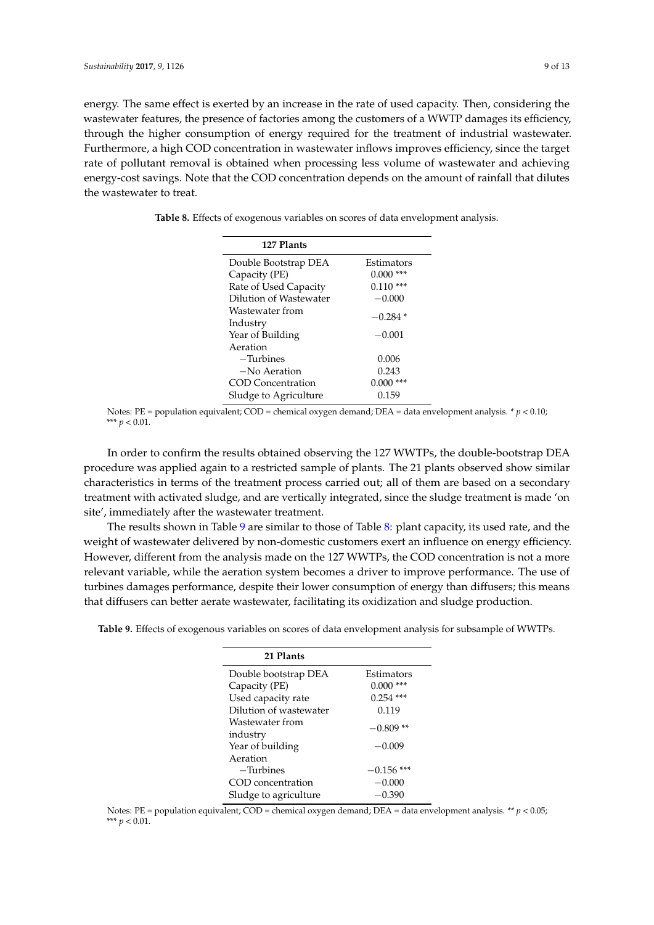energy. The same effect is exerted by an increase in the rate of used capacity. Then, considering the wastewater features, the presence of factories among the customers of a WWTP damages its efficiency, through the higher consumption of energy required for the treatment of industrial wastewater. Furthermore, a high COD concentration in wastewater inflows improves efficiency, since the target rate of pollutant removal is obtained when processing less volume of wastewater and achieving energy-cost savings. Note that the COD concentration depends on the amount of rainfall that dilutes the wastewater to treat.

<span id="page-8-0"></span>**Table 8.** Effects of exogenous variables on scores of data envelopment analysis.

| 127 Plants             |              |
|------------------------|--------------|
| Double Bootstrap DEA   | Estimators   |
| Capacity (PE)          | 0.000<br>*** |
| Rate of Used Capacity  | $0.110$ ***  |
| Dilution of Wastewater | $-0.000$     |
| Wastewater from        | $-0.284*$    |
| Industry               |              |
| Year of Building       | $-0.001$     |
| Aeration               |              |
| $-Turbins$             | 0.006        |
| $-No$ Aeration         | 0.243        |
| COD Concentration      | $0.000$ ***  |
| Sludge to Agriculture  | 0.159        |

Notes: PE = population equivalent; COD = chemical oxygen demand; DEA = data envelopment analysis.  $* p < 0.10$ ; \*\*\* *p* < 0.01.

In order to confirm the results obtained observing the 127 WWTPs, the double-bootstrap DEA procedure was applied again to a restricted sample of plants. The 21 plants observed show similar characteristics in terms of the treatment process carried out; all of them are based on a secondary treatment with activated sludge, and are vertically integrated, since the sludge treatment is made 'on site', immediately after the wastewater treatment.

The results shown in Table [9](#page-8-1) are similar to those of Table [8:](#page-8-0) plant capacity, its used rate, and the weight of wastewater delivered by non-domestic customers exert an influence on energy efficiency. However, different from the analysis made on the 127 WWTPs, the COD concentration is not a more relevant variable, while the aeration system becomes a driver to improve performance. The use of turbines damages performance, despite their lower consumption of energy than diffusers; this means that diffusers can better aerate wastewater, facilitating its oxidization and sludge production.

<span id="page-8-1"></span>**Table 9.** Effects of exogenous variables on scores of data envelopment analysis for subsample of WWTPs.

| 21 Plants                   |              |
|-----------------------------|--------------|
| Double bootstrap DEA        | Estimators   |
| Capacity (PE)               | ***<br>0.000 |
| Used capacity rate          | $0.254$ ***  |
| Dilution of wastewater      | 0.119        |
| Wastewater from<br>industry | $-0.809**$   |
| Year of building            | $-0.009$     |
| Aeration                    |              |
| $-Turbines$                 | $-0.156$ *** |
| COD concentration           | $-0.000$     |
| Sludge to agriculture       | $-0.390$     |

Notes: PE = population equivalent; COD = chemical oxygen demand; DEA = data envelopment analysis. \*\*  $p < 0.05$ ; \*\*\* *p* < 0.01.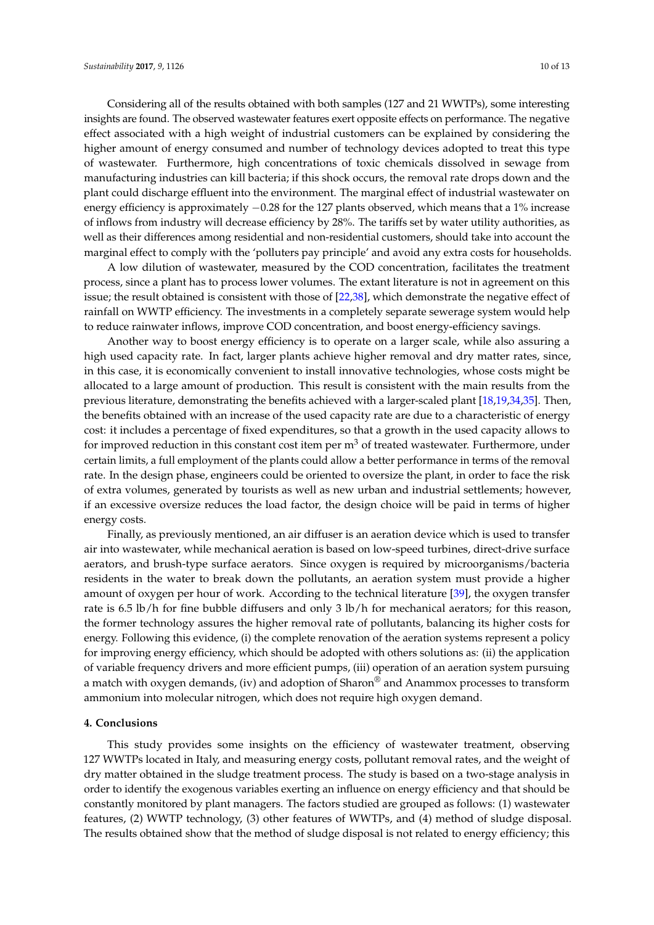Considering all of the results obtained with both samples (127 and 21 WWTPs), some interesting insights are found. The observed wastewater features exert opposite effects on performance. The negative effect associated with a high weight of industrial customers can be explained by considering the higher amount of energy consumed and number of technology devices adopted to treat this type of wastewater. Furthermore, high concentrations of toxic chemicals dissolved in sewage from manufacturing industries can kill bacteria; if this shock occurs, the removal rate drops down and the plant could discharge effluent into the environment. The marginal effect of industrial wastewater on energy efficiency is approximately −0.28 for the 127 plants observed, which means that a 1% increase of inflows from industry will decrease efficiency by 28%. The tariffs set by water utility authorities, as well as their differences among residential and non-residential customers, should take into account the marginal effect to comply with the 'polluters pay principle' and avoid any extra costs for households.

A low dilution of wastewater, measured by the COD concentration, facilitates the treatment process, since a plant has to process lower volumes. The extant literature is not in agreement on this issue; the result obtained is consistent with those of [\[22,](#page-11-15)[38\]](#page-12-9), which demonstrate the negative effect of rainfall on WWTP efficiency. The investments in a completely separate sewerage system would help to reduce rainwater inflows, improve COD concentration, and boost energy-efficiency savings.

Another way to boost energy efficiency is to operate on a larger scale, while also assuring a high used capacity rate. In fact, larger plants achieve higher removal and dry matter rates, since, in this case, it is economically convenient to install innovative technologies, whose costs might be allocated to a large amount of production. This result is consistent with the main results from the previous literature, demonstrating the benefits achieved with a larger-scaled plant [\[18,](#page-11-12)[19,](#page-11-21)[34,](#page-12-6)[35\]](#page-12-8). Then, the benefits obtained with an increase of the used capacity rate are due to a characteristic of energy cost: it includes a percentage of fixed expenditures, so that a growth in the used capacity allows to for improved reduction in this constant cost item per  $m<sup>3</sup>$  of treated wastewater. Furthermore, under certain limits, a full employment of the plants could allow a better performance in terms of the removal rate. In the design phase, engineers could be oriented to oversize the plant, in order to face the risk of extra volumes, generated by tourists as well as new urban and industrial settlements; however, if an excessive oversize reduces the load factor, the design choice will be paid in terms of higher energy costs.

Finally, as previously mentioned, an air diffuser is an aeration device which is used to transfer air into wastewater, while mechanical aeration is based on low-speed turbines, direct-drive surface aerators, and brush-type surface aerators. Since oxygen is required by microorganisms/bacteria residents in the water to break down the pollutants, an aeration system must provide a higher amount of oxygen per hour of work. According to the technical literature [\[39\]](#page-12-10), the oxygen transfer rate is 6.5 lb/h for fine bubble diffusers and only 3 lb/h for mechanical aerators; for this reason, the former technology assures the higher removal rate of pollutants, balancing its higher costs for energy. Following this evidence, (i) the complete renovation of the aeration systems represent a policy for improving energy efficiency, which should be adopted with others solutions as: (ii) the application of variable frequency drivers and more efficient pumps, (iii) operation of an aeration system pursuing a match with oxygen demands, (iv) and adoption of Sharon<sup>®</sup> and Anammox processes to transform ammonium into molecular nitrogen, which does not require high oxygen demand.

#### <span id="page-9-0"></span>**4. Conclusions**

This study provides some insights on the efficiency of wastewater treatment, observing 127 WWTPs located in Italy, and measuring energy costs, pollutant removal rates, and the weight of dry matter obtained in the sludge treatment process. The study is based on a two-stage analysis in order to identify the exogenous variables exerting an influence on energy efficiency and that should be constantly monitored by plant managers. The factors studied are grouped as follows: (1) wastewater features, (2) WWTP technology, (3) other features of WWTPs, and (4) method of sludge disposal. The results obtained show that the method of sludge disposal is not related to energy efficiency; this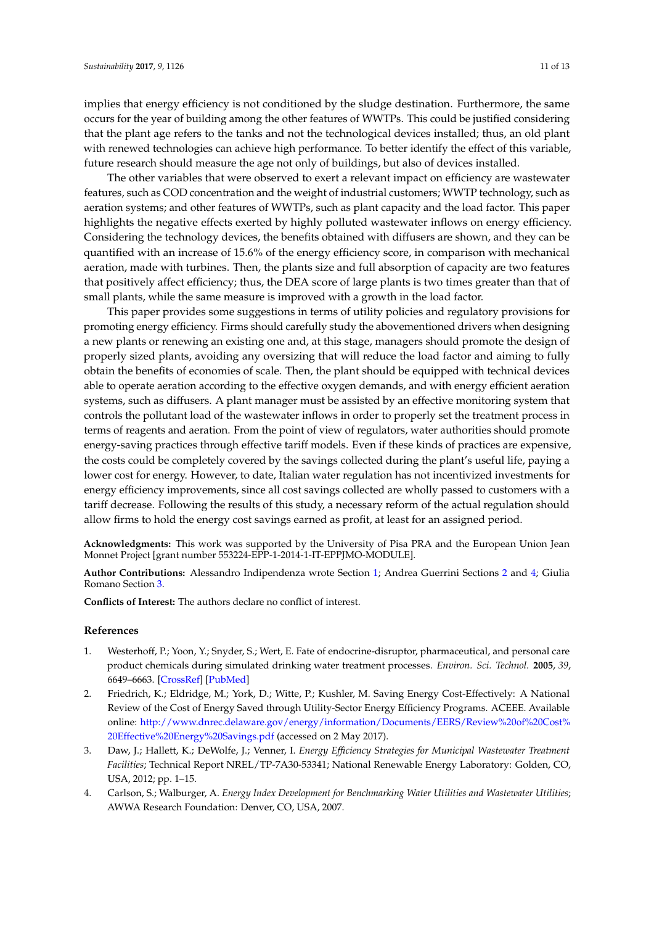implies that energy efficiency is not conditioned by the sludge destination. Furthermore, the same occurs for the year of building among the other features of WWTPs. This could be justified considering that the plant age refers to the tanks and not the technological devices installed; thus, an old plant with renewed technologies can achieve high performance. To better identify the effect of this variable, future research should measure the age not only of buildings, but also of devices installed.

The other variables that were observed to exert a relevant impact on efficiency are wastewater features, such as COD concentration and the weight of industrial customers; WWTP technology, such as aeration systems; and other features of WWTPs, such as plant capacity and the load factor. This paper highlights the negative effects exerted by highly polluted wastewater inflows on energy efficiency. Considering the technology devices, the benefits obtained with diffusers are shown, and they can be quantified with an increase of 15.6% of the energy efficiency score, in comparison with mechanical aeration, made with turbines. Then, the plants size and full absorption of capacity are two features that positively affect efficiency; thus, the DEA score of large plants is two times greater than that of small plants, while the same measure is improved with a growth in the load factor.

This paper provides some suggestions in terms of utility policies and regulatory provisions for promoting energy efficiency. Firms should carefully study the abovementioned drivers when designing a new plants or renewing an existing one and, at this stage, managers should promote the design of properly sized plants, avoiding any oversizing that will reduce the load factor and aiming to fully obtain the benefits of economies of scale. Then, the plant should be equipped with technical devices able to operate aeration according to the effective oxygen demands, and with energy efficient aeration systems, such as diffusers. A plant manager must be assisted by an effective monitoring system that controls the pollutant load of the wastewater inflows in order to properly set the treatment process in terms of reagents and aeration. From the point of view of regulators, water authorities should promote energy-saving practices through effective tariff models. Even if these kinds of practices are expensive, the costs could be completely covered by the savings collected during the plant's useful life, paying a lower cost for energy. However, to date, Italian water regulation has not incentivized investments for energy efficiency improvements, since all cost savings collected are wholly passed to customers with a tariff decrease. Following the results of this study, a necessary reform of the actual regulation should allow firms to hold the energy cost savings earned as profit, at least for an assigned period.

**Acknowledgments:** This work was supported by the University of Pisa PRA and the European Union Jean Monnet Project [grant number 553224-EPP-1-2014-1-IT-EPPJMO-MODULE].

**Author Contributions:** Alessandro Indipendenza wrote Section [1;](#page-0-0) Andrea Guerrini Sections [2](#page-2-2) and [4;](#page-9-0) Giulia Romano Section [3.](#page-5-1)

**Conflicts of Interest:** The authors declare no conflict of interest.

### **References**

- <span id="page-10-0"></span>1. Westerhoff, P.; Yoon, Y.; Snyder, S.; Wert, E. Fate of endocrine-disruptor, pharmaceutical, and personal care product chemicals during simulated drinking water treatment processes. *Environ. Sci. Technol.* **2005**, *39*, 6649–6663. [\[CrossRef\]](http://dx.doi.org/10.1021/es0484799) [\[PubMed\]](http://www.ncbi.nlm.nih.gov/pubmed/16190224)
- <span id="page-10-1"></span>2. Friedrich, K.; Eldridge, M.; York, D.; Witte, P.; Kushler, M. Saving Energy Cost-Effectively: A National Review of the Cost of Energy Saved through Utility-Sector Energy Efficiency Programs. ACEEE. Available online: [http://www.dnrec.delaware.gov/energy/information/Documents/EERS/Review%20of%20Cost%](http://www.dnrec.delaware.gov/energy/information/Documents/EERS/Review%20of%20Cost%20Effective%20Energy%20Savings.pdf) [20Effective%20Energy%20Savings.pdf](http://www.dnrec.delaware.gov/energy/information/Documents/EERS/Review%20of%20Cost%20Effective%20Energy%20Savings.pdf) (accessed on 2 May 2017).
- <span id="page-10-2"></span>3. Daw, J.; Hallett, K.; DeWolfe, J.; Venner, I. *Energy Efficiency Strategies for Municipal Wastewater Treatment Facilities*; Technical Report NREL/TP-7A30-53341; National Renewable Energy Laboratory: Golden, CO, USA, 2012; pp. 1–15.
- <span id="page-10-3"></span>4. Carlson, S.; Walburger, A. *Energy Index Development for Benchmarking Water Utilities and Wastewater Utilities*; AWWA Research Foundation: Denver, CO, USA, 2007.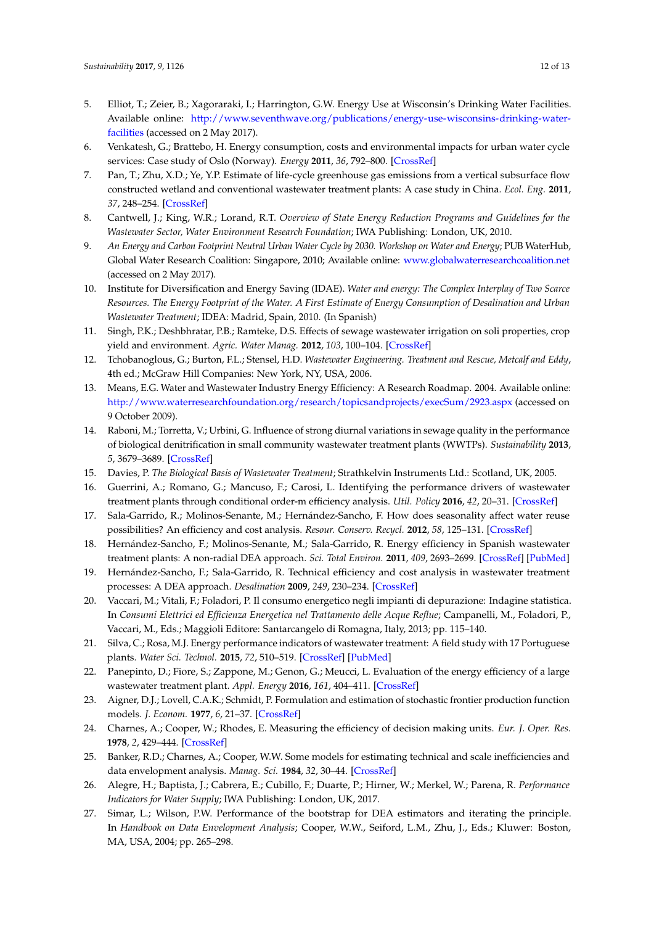- <span id="page-11-0"></span>5. Elliot, T.; Zeier, B.; Xagoraraki, I.; Harrington, G.W. Energy Use at Wisconsin's Drinking Water Facilities. Available online: [http://www.seventhwave.org/publications/energy-use-wisconsins-drinking-water](http://www.seventhwave.org/publications/energy-use-wisconsins-drinking-water-facilities)[facilities](http://www.seventhwave.org/publications/energy-use-wisconsins-drinking-water-facilities) (accessed on 2 May 2017).
- <span id="page-11-1"></span>6. Venkatesh, G.; Brattebo, H. Energy consumption, costs and environmental impacts for urban water cycle services: Case study of Oslo (Norway). *Energy* **2011**, *36*, 792–800. [\[CrossRef\]](http://dx.doi.org/10.1016/j.energy.2010.12.040)
- <span id="page-11-2"></span>7. Pan, T.; Zhu, X.D.; Ye, Y.P. Estimate of life-cycle greenhouse gas emissions from a vertical subsurface flow constructed wetland and conventional wastewater treatment plants: A case study in China. *Ecol. Eng.* **2011**, *37*, 248–254. [\[CrossRef\]](http://dx.doi.org/10.1016/j.ecoleng.2010.11.014)
- <span id="page-11-3"></span>8. Cantwell, J.; King, W.R.; Lorand, R.T. *Overview of State Energy Reduction Programs and Guidelines for the Wastewater Sector, Water Environment Research Foundation*; IWA Publishing: London, UK, 2010.
- 9. *An Energy and Carbon Footprint Neutral Urban Water Cycle by 2030. Workshop on Water and Energy*; PUB WaterHub, Global Water Research Coalition: Singapore, 2010; Available online: <www.globalwaterresearchcoalition.net> (accessed on 2 May 2017).
- <span id="page-11-4"></span>10. Institute for Diversification and Energy Saving (IDAE). *Water and energy: The Complex Interplay of Two Scarce Resources. The Energy Footprint of the Water. A First Estimate of Energy Consumption of Desalination and Urban Wastewater Treatment*; IDEA: Madrid, Spain, 2010. (In Spanish)
- <span id="page-11-5"></span>11. Singh, P.K.; Deshbhratar, P.B.; Ramteke, D.S. Effects of sewage wastewater irrigation on soli properties, crop yield and environment. *Agric. Water Manag.* **2012**, *103*, 100–104. [\[CrossRef\]](http://dx.doi.org/10.1016/j.agwat.2011.10.022)
- <span id="page-11-6"></span>12. Tchobanoglous, G.; Burton, F.L.; Stensel, H.D. *Wastewater Engineering. Treatment and Rescue, Metcalf and Eddy*, 4th ed.; McGraw Hill Companies: New York, NY, USA, 2006.
- <span id="page-11-7"></span>13. Means, E.G. Water and Wastewater Industry Energy Efficiency: A Research Roadmap. 2004. Available online: <http://www.waterresearchfoundation.org/research/topicsandprojects/execSum/2923.aspx> (accessed on 9 October 2009).
- <span id="page-11-8"></span>14. Raboni, M.; Torretta, V.; Urbini, G. Influence of strong diurnal variations in sewage quality in the performance of biological denitrification in small community wastewater treatment plants (WWTPs). *Sustainability* **2013**, *5*, 3679–3689. [\[CrossRef\]](http://dx.doi.org/10.3390/su5093679)
- <span id="page-11-9"></span>15. Davies, P. *The Biological Basis of Wastewater Treatment*; Strathkelvin Instruments Ltd.: Scotland, UK, 2005.
- <span id="page-11-10"></span>16. Guerrini, A.; Romano, G.; Mancuso, F.; Carosi, L. Identifying the performance drivers of wastewater treatment plants through conditional order-m efficiency analysis. *Util. Policy* **2016**, *42*, 20–31. [\[CrossRef\]](http://dx.doi.org/10.1016/j.jup.2016.08.001)
- <span id="page-11-11"></span>17. Sala-Garrido, R.; Molinos-Senante, M.; Hernández-Sancho, F. How does seasonality affect water reuse possibilities? An efficiency and cost analysis. *Resour. Conserv. Recycl.* **2012**, *58*, 125–131. [\[CrossRef\]](http://dx.doi.org/10.1016/j.resconrec.2011.11.002)
- <span id="page-11-12"></span>18. Hernández-Sancho, F.; Molinos-Senante, M.; Sala-Garrido, R. Energy efficiency in Spanish wastewater treatment plants: A non-radial DEA approach. *Sci. Total Environ.* **2011**, *409*, 2693–2699. [\[CrossRef\]](http://dx.doi.org/10.1016/j.scitotenv.2011.04.018) [\[PubMed\]](http://www.ncbi.nlm.nih.gov/pubmed/21549411)
- <span id="page-11-21"></span>19. Hernández-Sancho, F.; Sala-Garrido, R. Technical efficiency and cost analysis in wastewater treatment processes: A DEA approach. *Desalination* **2009**, *249*, 230–234. [\[CrossRef\]](http://dx.doi.org/10.1016/j.desal.2009.01.029)
- <span id="page-11-13"></span>20. Vaccari, M.; Vitali, F.; Foladori, P. Il consumo energetico negli impianti di depurazione: Indagine statistica. In *Consumi Elettrici ed Efficienza Energetica nel Trattamento delle Acque Reflue*; Campanelli, M., Foladori, P., Vaccari, M., Eds.; Maggioli Editore: Santarcangelo di Romagna, Italy, 2013; pp. 115–140.
- <span id="page-11-14"></span>21. Silva, C.; Rosa, M.J. Energy performance indicators of wastewater treatment: A field study with 17 Portuguese plants. *Water Sci. Technol.* **2015**, *72*, 510–519. [\[CrossRef\]](http://dx.doi.org/10.2166/wst.2015.189) [\[PubMed\]](http://www.ncbi.nlm.nih.gov/pubmed/26247748)
- <span id="page-11-15"></span>22. Panepinto, D.; Fiore, S.; Zappone, M.; Genon, G.; Meucci, L. Evaluation of the energy efficiency of a large wastewater treatment plant. *Appl. Energy* **2016**, *161*, 404–411. [\[CrossRef\]](http://dx.doi.org/10.1016/j.apenergy.2015.10.027)
- <span id="page-11-16"></span>23. Aigner, D.J.; Lovell, C.A.K.; Schmidt, P. Formulation and estimation of stochastic frontier production function models. *J. Econom.* **1977**, *6*, 21–37. [\[CrossRef\]](http://dx.doi.org/10.1016/0304-4076(77)90052-5)
- <span id="page-11-17"></span>24. Charnes, A.; Cooper, W.; Rhodes, E. Measuring the efficiency of decision making units. *Eur. J. Oper. Res.* **1978**, *2*, 429–444. [\[CrossRef\]](http://dx.doi.org/10.1016/0377-2217(78)90138-8)
- <span id="page-11-18"></span>25. Banker, R.D.; Charnes, A.; Cooper, W.W. Some models for estimating technical and scale inefficiencies and data envelopment analysis. *Manag. Sci.* **1984**, *32*, 30–44. [\[CrossRef\]](http://dx.doi.org/10.1287/mnsc.32.1.30)
- <span id="page-11-19"></span>26. Alegre, H.; Baptista, J.; Cabrera, E.; Cubillo, F.; Duarte, P.; Hirner, W.; Merkel, W.; Parena, R. *Performance Indicators for Water Supply*; IWA Publishing: London, UK, 2017.
- <span id="page-11-20"></span>27. Simar, L.; Wilson, P.W. Performance of the bootstrap for DEA estimators and iterating the principle. In *Handbook on Data Envelopment Analysis*; Cooper, W.W., Seiford, L.M., Zhu, J., Eds.; Kluwer: Boston, MA, USA, 2004; pp. 265–298.